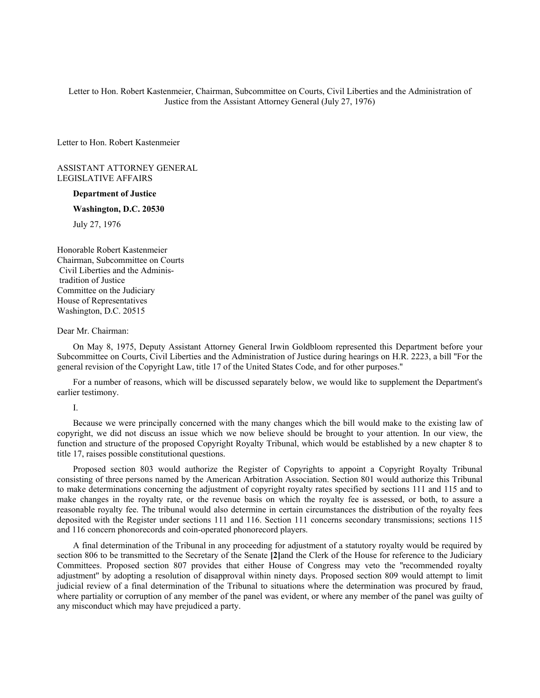Letter to Hon. Robert Kastenmeier, Chairman, Subcommittee on Courts, Civil Liberties and the Administration of Justice from the Assistant Attorney General (July 27, 1976)

Letter to Hon. Robert Kastenmeier

ASSISTANT ATTORNEY GENERAL LEGISLATIVE AFFAIRS

## **Department of Justice**

## **Washington, D.C. 20530**

July 27, 1976

Honorable Robert Kastenmeier Chairman, Subcommittee on Courts Civil Liberties and the Adminis tradition of Justice Committee on the Judiciary House of Representatives Washington, D.C. 20515

Dear Mr. Chairman:

On May 8, 1975, Deputy Assistant Attorney General Irwin Goldbloom represented this Department before your Subcommittee on Courts, Civil Liberties and the Administration of Justice during hearings on H.R. 2223, a bill ''For the general revision of the Copyright Law, title 17 of the United States Code, and for other purposes.''

For a number of reasons, which will be discussed separately below, we would like to supplement the Department's earlier testimony.

I.

Because we were principally concerned with the many changes which the bill would make to the existing law of copyright, we did not discuss an issue which we now believe should be brought to your attention. In our view, the function and structure of the proposed Copyright Royalty Tribunal, which would be established by a new chapter 8 to title 17, raises possible constitutional questions.

Proposed section 803 would authorize the Register of Copyrights to appoint a Copyright Royalty Tribunal consisting of three persons named by the American Arbitration Association. Section 801 would authorize this Tribunal to make determinations concerning the adjustment of copyright royalty rates specified by sections 111 and 115 and to make changes in the royalty rate, or the revenue basis on which the royalty fee is assessed, or both, to assure a reasonable royalty fee. The tribunal would also determine in certain circumstances the distribution of the royalty fees deposited with the Register under sections 111 and 116. Section 111 concerns secondary transmissions; sections 115 and 116 concern phonorecords and coin-operated phonorecord players.

A final determination of the Tribunal in any proceeding for adjustment of a statutory royalty would be required by section 806 to be transmitted to the Secretary of the Senate **[2]**and the Clerk of the House for reference to the Judiciary Committees. Proposed section 807 provides that either House of Congress may veto the ''recommended royalty adjustment'' by adopting a resolution of disapproval within ninety days. Proposed section 809 would attempt to limit judicial review of a final determination of the Tribunal to situations where the determination was procured by fraud, where partiality or corruption of any member of the panel was evident, or where any member of the panel was guilty of any misconduct which may have prejudiced a party.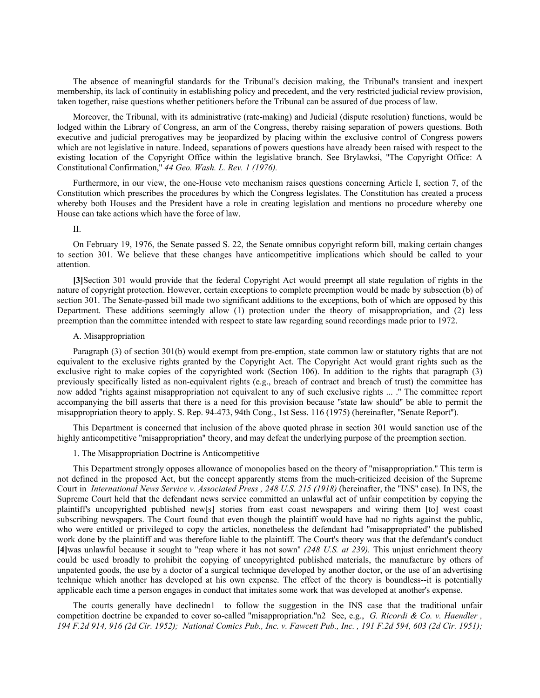The absence of meaningful standards for the Tribunal's decision making, the Tribunal's transient and inexpert membership, its lack of continuity in establishing policy and precedent, and the very restricted judicial review provision, taken together, raise questions whether petitioners before the Tribunal can be assured of due process of law.

Moreover, the Tribunal, with its administrative (rate-making) and Judicial (dispute resolution) functions, would be lodged within the Library of Congress, an arm of the Congress, thereby raising separation of powers questions. Both executive and judicial prerogatives may be jeopardized by placing within the exclusive control of Congress powers which are not legislative in nature. Indeed, separations of powers questions have already been raised with respect to the existing location of the Copyright Office within the legislative branch. See Brylawksi, ''The Copyright Office: A Constitutional Confirmation,'' *44 Geo. Wash. L. Rev. 1 (1976).*

Furthermore, in our view, the one-House veto mechanism raises questions concerning Article I, section 7, of the Constitution which prescribes the procedures by which the Congress legislates. The Constitution has created a process whereby both Houses and the President have a role in creating legislation and mentions no procedure whereby one House can take actions which have the force of law.

# II.

On February 19, 1976, the Senate passed S. 22, the Senate omnibus copyright reform bill, making certain changes to section 301. We believe that these changes have anticompetitive implications which should be called to your attention.

**[3]**Section 301 would provide that the federal Copyright Act would preempt all state regulation of rights in the nature of copyright protection. However, certain exceptions to complete preemption would be made by subsection (b) of section 301. The Senate-passed bill made two significant additions to the exceptions, both of which are opposed by this Department. These additions seemingly allow (1) protection under the theory of misappropriation, and (2) less preemption than the committee intended with respect to state law regarding sound recordings made prior to 1972.

## A. Misappropriation

Paragraph (3) of section 301(b) would exempt from pre-emption, state common law or statutory rights that are not equivalent to the exclusive rights granted by the Copyright Act. The Copyright Act would grant rights such as the exclusive right to make copies of the copyrighted work (Section 106). In addition to the rights that paragraph (3) previously specifically listed as non-equivalent rights (e.g., breach of contract and breach of trust) the committee has now added ''rights against misappropriation not equivalent to any of such exclusive rights ... .'' The committee report accompanying the bill asserts that there is a need for this provision because ''state law should'' be able to permit the misappropriation theory to apply. S. Rep. 94-473, 94th Cong., 1st Sess. 116 (1975) (hereinafter, ''Senate Report'').

This Department is concerned that inclusion of the above quoted phrase in section 301 would sanction use of the highly anticompetitive "misappropriation" theory, and may defeat the underlying purpose of the preemption section.

# 1. The Misappropriation Doctrine is Anticompetitive

This Department strongly opposes allowance of monopolies based on the theory of ''misappropriation.'' This term is not defined in the proposed Act, but the concept apparently stems from the much-criticized decision of the Supreme Court in *International News Service v. Associated Press , 248 U.S. 215 (1918)* (hereinafter, the ''INS'' case). In INS, the Supreme Court held that the defendant news service committed an unlawful act of unfair competition by copying the plaintiff's uncopyrighted published new[s] stories from east coast newspapers and wiring them [to] west coast subscribing newspapers. The Court found that even though the plaintiff would have had no rights against the public, who were entitled or privileged to copy the articles, nonetheless the defendant had ''misappropriated'' the published work done by the plaintiff and was therefore liable to the plaintiff. The Court's theory was that the defendant's conduct **[4]**was unlawful because it sought to ''reap where it has not sown'' *(248 U.S. at 239).* This unjust enrichment theory could be used broadly to prohibit the copying of uncopyrighted published materials, the manufacture by others of unpatented goods, the use by a doctor of a surgical technique developed by another doctor, or the use of an advertising technique which another has developed at his own expense. The effect of the theory is boundless--it is potentially applicable each time a person engages in conduct that imitates some work that was developed at another's expense.

The courts generally have declinedn1 to follow the suggestion in the INS case that the traditional unfair competition doctrine be expanded to cover so-called ''misappropriation.''n2 See, e.g., *G. Ricordi & Co. v. Haendler , 194 F.2d 914, 916 (2d Cir. 1952); National Comics Pub., Inc. v. Fawcett Pub., Inc. , 191 F.2d 594, 603 (2d Cir. 1951);*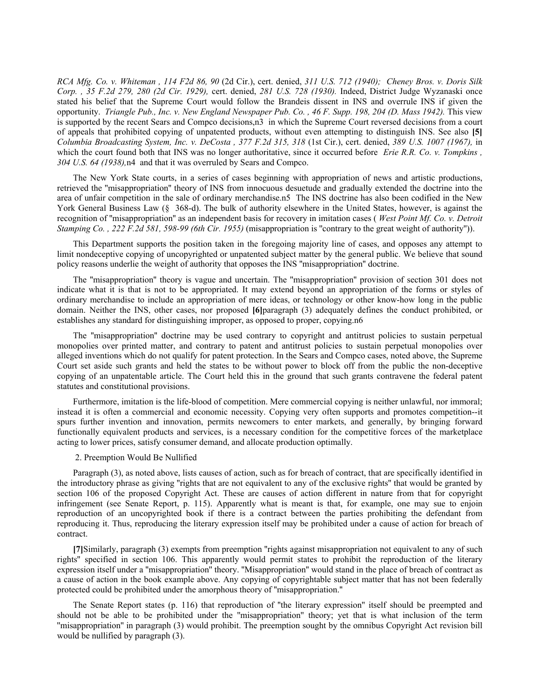*RCA Mfg. Co. v. Whiteman , 114 F2d 86, 90* (2d Cir.), cert. denied, *311 U.S. 712 (1940); Cheney Bros. v. Doris Silk Corp. , 35 F.2d 279, 280 (2d Cir. 1929),* cert. denied, *281 U.S. 728 (1930).* Indeed, District Judge Wyzanaski once stated his belief that the Supreme Court would follow the Brandeis dissent in INS and overrule INS if given the opportunity. *Triangle Pub., Inc. v. New England Newspaper Pub. Co. , 46 F. Supp. 198, 204 (D. Mass 1942).* This view is supported by the recent Sears and Compco decisions,n3 in which the Supreme Court reversed decisions from a court of appeals that prohibited copying of unpatented products, without even attempting to distinguish INS. See also **[5]** *Columbia Broadcasting System, Inc. v. DeCosta , 377 F.2d 315, 318* (1st Cir.), cert. denied, *389 U.S. 1007 (1967),* in which the court found both that INS was no longer authoritative, since it occurred before *Erie R.R. Co. v. Tompkins*, *304 U.S. 64 (1938),*n4 and that it was overruled by Sears and Compco.

The New York State courts, in a series of cases beginning with appropriation of news and artistic productions, retrieved the ''misappropriation'' theory of INS from innocuous desuetude and gradually extended the doctrine into the area of unfair competition in the sale of ordinary merchandise.n5 The INS doctrine has also been codified in the New York General Business Law (§ 368-d). The bulk of authority elsewhere in the United States, however, is against the recognition of ''misappropriation'' as an independent basis for recovery in imitation cases ( *West Point Mf. Co. v. Detroit Stamping Co. , 222 F.2d 581, 598-99 (6th Cir. 1955)* (misappropriation is ''contrary to the great weight of authority'')).

This Department supports the position taken in the foregoing majority line of cases, and opposes any attempt to limit nondeceptive copying of uncopyrighted or unpatented subject matter by the general public. We believe that sound policy reasons underlie the weight of authority that opposes the INS ''misappropriation'' doctrine.

The ''misappropriation'' theory is vague and uncertain. The ''misappropriation'' provision of section 301 does not indicate what it is that is not to be appropriated. It may extend beyond an appropriation of the forms or styles of ordinary merchandise to include an appropriation of mere ideas, or technology or other know-how long in the public domain. Neither the INS, other cases, nor proposed **[6]**paragraph (3) adequately defines the conduct prohibited, or establishes any standard for distinguishing improper, as opposed to proper, copying.n6

The ''misappropriation'' doctrine may be used contrary to copyright and antitrust policies to sustain perpetual monopolies over printed matter, and contrary to patent and antitrust policies to sustain perpetual monopolies over alleged inventions which do not qualify for patent protection. In the Sears and Compco cases, noted above, the Supreme Court set aside such grants and held the states to be without power to block off from the public the non-deceptive copying of an unpatentable article. The Court held this in the ground that such grants contravene the federal patent statutes and constitutional provisions.

Furthermore, imitation is the life-blood of competition. Mere commercial copying is neither unlawful, nor immoral; instead it is often a commercial and economic necessity. Copying very often supports and promotes competition--it spurs further invention and innovation, permits newcomers to enter markets, and generally, by bringing forward functionally equivalent products and services, is a necessary condition for the competitive forces of the marketplace acting to lower prices, satisfy consumer demand, and allocate production optimally.

#### 2. Preemption Would Be Nullified

Paragraph (3), as noted above, lists causes of action, such as for breach of contract, that are specifically identified in the introductory phrase as giving ''rights that are not equivalent to any of the exclusive rights'' that would be granted by section 106 of the proposed Copyright Act. These are causes of action different in nature from that for copyright infringement (see Senate Report, p. 115). Apparently what is meant is that, for example, one may sue to enjoin reproduction of an uncopyrighted book if there is a contract between the parties prohibiting the defendant from reproducing it. Thus, reproducing the literary expression itself may be prohibited under a cause of action for breach of contract.

**[7]**Similarly, paragraph (3) exempts from preemption ''rights against misappropriation not equivalent to any of such rights'' specified in section 106. This apparently would permit states to prohibit the reproduction of the literary expression itself under a ''misappropriation'' theory. ''Misappropriation'' would stand in the place of breach of contract as a cause of action in the book example above. Any copying of copyrightable subject matter that has not been federally protected could be prohibited under the amorphous theory of ''misappropriation.''

The Senate Report states (p. 116) that reproduction of ''the literary expression'' itself should be preempted and should not be able to be prohibited under the ''misappropriation'' theory; yet that is what inclusion of the term ''misappropriation'' in paragraph (3) would prohibit. The preemption sought by the omnibus Copyright Act revision bill would be nullified by paragraph (3).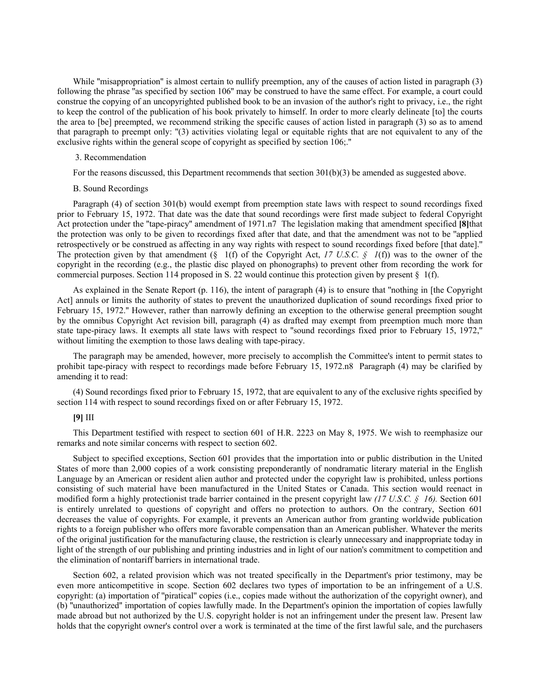While "misappropriation" is almost certain to nullify preemption, any of the causes of action listed in paragraph (3) following the phrase ''as specified by section 106'' may be construed to have the same effect. For example, a court could construe the copying of an uncopyrighted published book to be an invasion of the author's right to privacy, i.e., the right to keep the control of the publication of his book privately to himself. In order to more clearly delineate [to] the courts the area to [be] preempted, we recommend striking the specific causes of action listed in paragraph (3) so as to amend that paragraph to preempt only: ''(3) activities violating legal or equitable rights that are not equivalent to any of the exclusive rights within the general scope of copyright as specified by section 106;.''

## 3. Recommendation

For the reasons discussed, this Department recommends that section 301(b)(3) be amended as suggested above.

# B. Sound Recordings

Paragraph (4) of section 301(b) would exempt from preemption state laws with respect to sound recordings fixed prior to February 15, 1972. That date was the date that sound recordings were first made subject to federal Copyright Act protection under the ''tape-piracy'' amendment of 1971.n7 The legislation making that amendment specified **[8]**that the protection was only to be given to recordings fixed after that date, and that the amendment was not to be ''applied retrospectively or be construed as affecting in any way rights with respect to sound recordings fixed before [that date].'' The protection given by that amendment (§ 1(f) of the Copyright Act, *17 U.S.C.* § 1(f)) was to the owner of the copyright in the recording (e.g., the plastic disc played on phonographs) to prevent other from recording the work for commercial purposes. Section 114 proposed in S. 22 would continue this protection given by present § 1(f).

As explained in the Senate Report (p. 116), the intent of paragraph (4) is to ensure that ''nothing in [the Copyright Act] annuls or limits the authority of states to prevent the unauthorized duplication of sound recordings fixed prior to February 15, 1972.'' However, rather than narrowly defining an exception to the otherwise general preemption sought by the omnibus Copyright Act revision bill, paragraph (4) as drafted may exempt from preemption much more than state tape-piracy laws. It exempts all state laws with respect to ''sound recordings fixed prior to February 15, 1972,'' without limiting the exemption to those laws dealing with tape-piracy.

The paragraph may be amended, however, more precisely to accomplish the Committee's intent to permit states to prohibit tape-piracy with respect to recordings made before February 15, 1972.n8 Paragraph (4) may be clarified by amending it to read:

(4) Sound recordings fixed prior to February 15, 1972, that are equivalent to any of the exclusive rights specified by section 114 with respect to sound recordings fixed on or after February 15, 1972.

# **[9]** III

This Department testified with respect to section 601 of H.R. 2223 on May 8, 1975. We wish to reemphasize our remarks and note similar concerns with respect to section 602.

Subject to specified exceptions, Section 601 provides that the importation into or public distribution in the United States of more than 2,000 copies of a work consisting preponderantly of nondramatic literary material in the English Language by an American or resident alien author and protected under the copyright law is prohibited, unless portions consisting of such material have been manufactured in the United States or Canada. This section would reenact in modified form a highly protectionist trade barrier contained in the present copyright law *(17 U.S.C. § 16).* Section 601 is entirely unrelated to questions of copyright and offers no protection to authors. On the contrary, Section 601 decreases the value of copyrights. For example, it prevents an American author from granting worldwide publication rights to a foreign publisher who offers more favorable compensation than an American publisher. Whatever the merits of the original justification for the manufacturing clause, the restriction is clearly unnecessary and inappropriate today in light of the strength of our publishing and printing industries and in light of our nation's commitment to competition and the elimination of nontariff barriers in international trade.

Section 602, a related provision which was not treated specifically in the Department's prior testimony, may be even more anticompetitive in scope. Section 602 declares two types of importation to be an infringement of a U.S. copyright: (a) importation of ''piratical'' copies (i.e., copies made without the authorization of the copyright owner), and (b) ''unauthorized'' importation of copies lawfully made. In the Department's opinion the importation of copies lawfully made abroad but not authorized by the U.S. copyright holder is not an infringement under the present law. Present law holds that the copyright owner's control over a work is terminated at the time of the first lawful sale, and the purchasers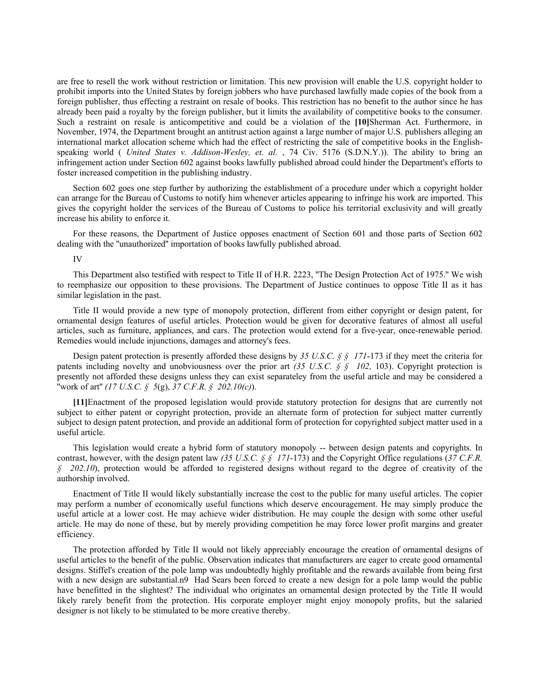are free to resell the work without restriction or limitation. This new provision will enable the U.S. copyright holder to prohibit imports into the United States by foreign jobbers who have purchased lawfully made copies of the book from a foreign publisher, thus effecting a restraint on resale of books. This restriction has no benefit to the author since he has already been paid a royalty by the foreign publisher, but it limits the availability of competitive books to the consumer. Such a restraint on resale is anticompetitive and could be a violation of the **[10]**Sherman Act. Furthermore, in November, 1974, the Department brought an antitrust action against a large number of major U.S. publishers alleging an international market allocation scheme which had the effect of restricting the sale of competitive books in the Englishspeaking world ( *United States v. Addison-Wesley, et. al.* , 74 Civ. 5176 (S.D.N.Y.)). The ability to bring an infringement action under Section 602 against books lawfully published abroad could hinder the Department's efforts to foster increased competition in the publishing industry.

Section 602 goes one step further by authorizing the establishment of a procedure under which a copyright holder can arrange for the Bureau of Customs to notify him whenever articles appearing to infringe his work are imported. This gives the copyright holder the services of the Bureau of Customs to police his territorial exclusivity and will greatly increase his ability to enforce it.

For these reasons, the Department of Justice opposes enactment of Section 601 and those parts of Section 602 dealing with the ''unauthorized'' importation of books lawfully published abroad.

IV

This Department also testified with respect to Title II of H.R. 2223, ''The Design Protection Act of 1975.'' We wish to reemphasize our opposition to these provisions. The Department of Justice continues to oppose Title II as it has similar legislation in the past.

Title II would provide a new type of monopoly protection, different from either copyright or design patent, for ornamental design features of useful articles. Protection would be given for decorative features of almost all useful articles, such as furniture, appliances, and cars. The protection would extend for a five-year, once-renewable period. Remedies would include injunctions, damages and attorney's fees.

Design patent protection is presently afforded these designs by *35 U.S.C. § § 171*-173 if they meet the criteria for patents including novelty and unobviousness over the prior art *(35 U.S.C. § § 102,* 103). Copyright protection is presently not afforded these designs unless they can exist separateley from the useful article and may be considered a ''work of art'' *(17 U.S.C. § 5*(g), *37 C.F.R. § 202.10(c)*).

**[11]**Enactment of the proposed legislation would provide statutory protection for designs that are currently not subject to either patent or copyright protection, provide an alternate form of protection for subject matter currently subject to design patent protection, and provide an additional form of protection for copyrighted subject matter used in a useful article.

This legislation would create a hybrid form of statutory monopoly -- between design patents and copyrights. In contrast, however, with the design patent law *(35 U.S.C. § § 171*-173) and the Copyright Office regulations (*37 C.F.R. § 202.10*), protection would be afforded to registered designs without regard to the degree of creativity of the authorship involved.

Enactment of Title II would likely substantially increase the cost to the public for many useful articles. The copier may perform a number of economically useful functions which deserve encouragement. He may simply produce the useful article at a lower cost. He may achieve wider distribution. He may couple the design with some other useful article. He may do none of these, but by merely providing competition he may force lower profit margins and greater efficiency.

The protection afforded by Title II would not likely appreciably encourage the creation of ornamental designs of useful articles to the benefit of the public. Observation indicates that manufacturers are eager to create good ornamental designs. Stiffel's creation of the pole lamp was undoubtedly highly profitable and the rewards available from being first with a new design are substantial.n9 Had Sears been forced to create a new design for a pole lamp would the public have benefitted in the slightest? The individual who originates an ornamental design protected by the Title II would likely rarely benefit from the protection. His corporate employer might enjoy monopoly profits, but the salaried designer is not likely to be stimulated to be more creative thereby.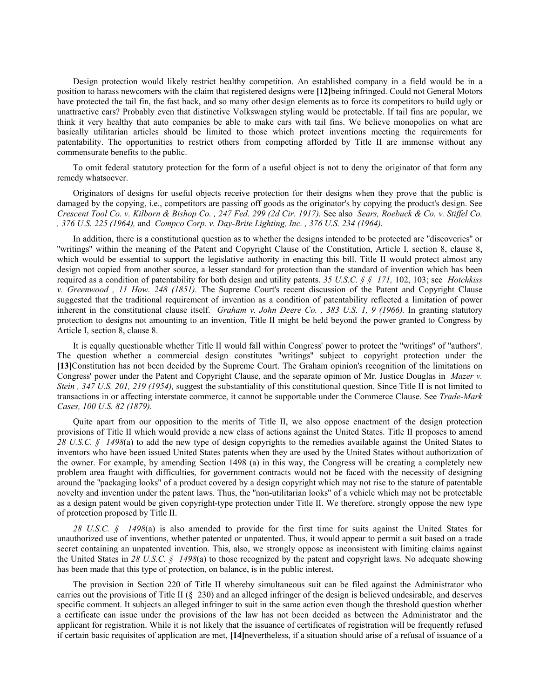Design protection would likely restrict healthy competition. An established company in a field would be in a position to harass newcomers with the claim that registered designs were **[12]**being infringed. Could not General Motors have protected the tail fin, the fast back, and so many other design elements as to force its competitors to build ugly or unattractive cars? Probably even that distinctive Volkswagen styling would be protectable. If tail fins are popular, we think it very healthy that auto companies be able to make cars with tail fins. We believe monopolies on what are basically utilitarian articles should be limited to those which protect inventions meeting the requirements for patentability. The opportunities to restrict others from competing afforded by Title II are immense without any commensurate benefits to the public.

To omit federal statutory protection for the form of a useful object is not to deny the originator of that form any remedy whatsoever.

Originators of designs for useful objects receive protection for their designs when they prove that the public is damaged by the copying, i.e., competitors are passing off goods as the originator's by copying the product's design. See *Crescent Tool Co. v. Kilborn & Bishop Co. , 247 Fed. 299 (2d Cir. 1917).* See also *Sears, Roebuck & Co. v. Stiffel Co. , 376 U.S. 225 (1964),* and *Compco Corp. v. Day-Brite Lighting, Inc. , 376 U.S. 234 (1964).*

In addition, there is a constitutional question as to whether the designs intended to be protected are ''discoveries'' or ''writings'' within the meaning of the Patent and Copyright Clause of the Constitution, Article I, section 8, clause 8, which would be essential to support the legislative authority in enacting this bill. Title II would protect almost any design not copied from another source, a lesser standard for protection than the standard of invention which has been required as a condition of patentability for both design and utility patents. *35 U.S.C. § § 171,* 102, 103; see *Hotchkiss v. Greenwood , 11 How. 248 (1851).* The Supreme Court's recent discussion of the Patent and Copyright Clause suggested that the traditional requirement of invention as a condition of patentability reflected a limitation of power inherent in the constitutional clause itself. *Graham v. John Deere Co. , 383 U.S. 1, 9 (1966).* In granting statutory protection to designs not amounting to an invention, Title II might be held beyond the power granted to Congress by Article I, section 8, clause 8.

It is equally questionable whether Title II would fall within Congress' power to protect the ''writings'' of ''authors''. The question whether a commercial design constitutes ''writings'' subject to copyright protection under the **[13]**Constitution has not been decided by the Supreme Court. The Graham opinion's recognition of the limitations on Congress' power under the Patent and Copyright Clause, and the separate opinion of Mr. Justice Douglas in *Mazer v. Stein, 347 U.S. 201, 219 (1954),* suggest the substantiality of this constitutional question. Since Title II is not limited to transactions in or affecting interstate commerce, it cannot be supportable under the Commerce Clause. See *Trade-Mark Cases, 100 U.S. 82 (1879).*

Quite apart from our opposition to the merits of Title II, we also oppose enactment of the design protection provisions of Title II which would provide a new class of actions against the United States. Title II proposes to amend 28 U.S.C. § 1498(a) to add the new type of design copyrights to the remedies available against the United States to inventors who have been issued United States patents when they are used by the United States without authorization of the owner. For example, by amending Section 1498 (a) in this way, the Congress will be creating a completely new problem area fraught with difficulties, for government contracts would not be faced with the necessity of designing around the ''packaging looks'' of a product covered by a design copyright which may not rise to the stature of patentable novelty and invention under the patent laws. Thus, the ''non-utilitarian looks'' of a vehicle which may not be protectable as a design patent would be given copyright-type protection under Title II. We therefore, strongly oppose the new type of protection proposed by Title II.

*28 U.S.C. § 1498*(a) is also amended to provide for the first time for suits against the United States for unauthorized use of inventions, whether patented or unpatented. Thus, it would appear to permit a suit based on a trade secret containing an unpatented invention. This, also, we strongly oppose as inconsistent with limiting claims against the United States in *28 U.S.C. § 1498*(a) to those recognized by the patent and copyright laws. No adequate showing has been made that this type of protection, on balance, is in the public interest.

The provision in Section 220 of Title II whereby simultaneous suit can be filed against the Administrator who carries out the provisions of Title II (§ 230) and an alleged infringer of the design is believed undesirable, and deserves specific comment. It subjects an alleged infringer to suit in the same action even though the threshold question whether a certificate can issue under the provisions of the law has not been decided as between the Administrator and the applicant for registration. While it is not likely that the issuance of certificates of registration will be frequently refused if certain basic requisites of application are met, **[14]**nevertheless, if a situation should arise of a refusal of issuance of a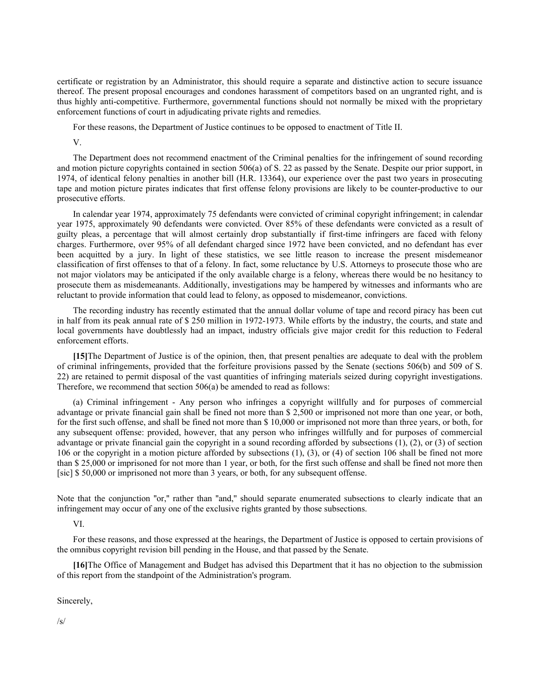certificate or registration by an Administrator, this should require a separate and distinctive action to secure issuance thereof. The present proposal encourages and condones harassment of competitors based on an ungranted right, and is thus highly anti-competitive. Furthermore, governmental functions should not normally be mixed with the proprietary enforcement functions of court in adjudicating private rights and remedies.

For these reasons, the Department of Justice continues to be opposed to enactment of Title II.

V.

The Department does not recommend enactment of the Criminal penalties for the infringement of sound recording and motion picture copyrights contained in section 506(a) of S. 22 as passed by the Senate. Despite our prior support, in 1974, of identical felony penalties in another bill (H.R. 13364), our experience over the past two years in prosecuting tape and motion picture pirates indicates that first offense felony provisions are likely to be counter-productive to our prosecutive efforts.

In calendar year 1974, approximately 75 defendants were convicted of criminal copyright infringement; in calendar year 1975, approximately 90 defendants were convicted. Over 85% of these defendants were convicted as a result of guilty pleas, a percentage that will almost certainly drop substantially if first-time infringers are faced with felony charges. Furthermore, over 95% of all defendant charged since 1972 have been convicted, and no defendant has ever been acquitted by a jury. In light of these statistics, we see little reason to increase the present misdemeanor classification of first offenses to that of a felony. In fact, some reluctance by U.S. Attorneys to prosecute those who are not major violators may be anticipated if the only available charge is a felony, whereas there would be no hesitancy to prosecute them as misdemeanants. Additionally, investigations may be hampered by witnesses and informants who are reluctant to provide information that could lead to felony, as opposed to misdemeanor, convictions.

The recording industry has recently estimated that the annual dollar volume of tape and record piracy has been cut in half from its peak annual rate of \$ 250 million in 1972-1973. While efforts by the industry, the courts, and state and local governments have doubtlessly had an impact, industry officials give major credit for this reduction to Federal enforcement efforts.

**[15]**The Department of Justice is of the opinion, then, that present penalties are adequate to deal with the problem of criminal infringements, provided that the forfeiture provisions passed by the Senate (sections 506(b) and 509 of S. 22) are retained to permit disposal of the vast quantities of infringing materials seized during copyright investigations. Therefore, we recommend that section 506(a) be amended to read as follows:

(a) Criminal infringement - Any person who infringes a copyright willfully and for purposes of commercial advantage or private financial gain shall be fined not more than \$ 2,500 or imprisoned not more than one year, or both, for the first such offense, and shall be fined not more than \$ 10,000 or imprisoned not more than three years, or both, for any subsequent offense: provided, however, that any person who infringes willfully and for purposes of commercial advantage or private financial gain the copyright in a sound recording afforded by subsections (1), (2), or (3) of section 106 or the copyright in a motion picture afforded by subsections (1), (3), or (4) of section 106 shall be fined not more than \$ 25,000 or imprisoned for not more than 1 year, or both, for the first such offense and shall be fined not more then [sic] \$ 50,000 or imprisoned not more than 3 years, or both, for any subsequent offense.

Note that the conjunction "or," rather than "and," should separate enumerated subsections to clearly indicate that an infringement may occur of any one of the exclusive rights granted by those subsections.

VI.

For these reasons, and those expressed at the hearings, the Department of Justice is opposed to certain provisions of the omnibus copyright revision bill pending in the House, and that passed by the Senate.

**[16]**The Office of Management and Budget has advised this Department that it has no objection to the submission of this report from the standpoint of the Administration's program.

Sincerely,

/s/